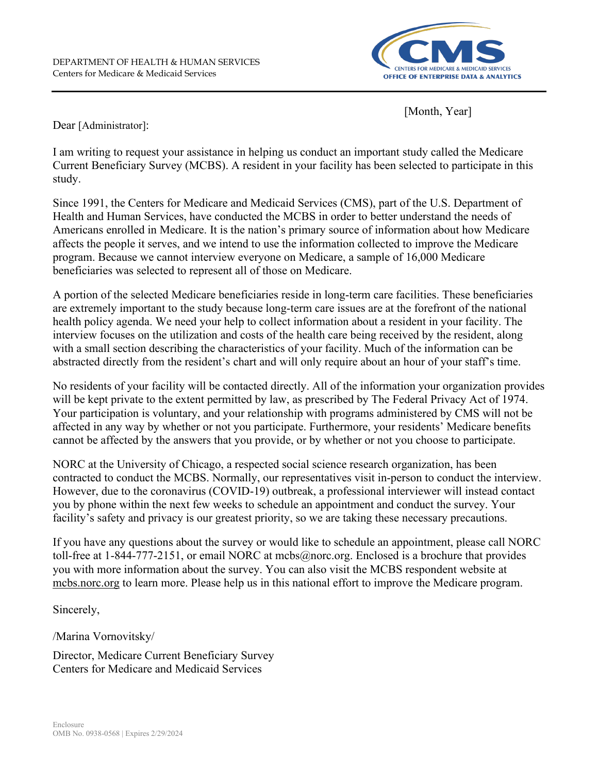

[Month, Year]

Dear [Administrator]:

I am writing to request your assistance in helping us conduct an important study called the Medicare Current Beneficiary Survey (MCBS). A resident in your facility has been selected to participate in this study.

Since 1991, the Centers for Medicare and Medicaid Services (CMS), part of the U.S. Department of Health and Human Services, have conducted the MCBS in order to better understand the needs of Americans enrolled in Medicare. It is the nation's primary source of information about how Medicare affects the people it serves, and we intend to use the information collected to improve the Medicare program. Because we cannot interview everyone on Medicare, a sample of 16,000 Medicare beneficiaries was selected to represent all of those on Medicare.

A portion of the selected Medicare beneficiaries reside in long-term care facilities. These beneficiaries are extremely important to the study because long-term care issues are at the forefront of the national health policy agenda. We need your help to collect information about a resident in your facility. The interview focuses on the utilization and costs of the health care being received by the resident, along with a small section describing the characteristics of your facility. Much of the information can be abstracted directly from the resident's chart and will only require about an hour of your staff's time.

No residents of your facility will be contacted directly. All of the information your organization provides will be kept private to the extent permitted by law, as prescribed by The Federal Privacy Act of 1974. Your participation is voluntary, and your relationship with programs administered by CMS will not be affected in any way by whether or not you participate. Furthermore, your residents' Medicare benefits cannot be affected by the answers that you provide, or by whether or not you choose to participate.

NORC at the University of Chicago, a respected social science research organization, has been contracted to conduct the MCBS. Normally, our representatives visit in-person to conduct the interview. However, due to the coronavirus (COVID-19) outbreak, a professional interviewer will instead contact you by phone within the next few weeks to schedule an appointment and conduct the survey. Your facility's safety and privacy is our greatest priority, so we are taking these necessary precautions.

If you have any questions about the survey or would like to schedule an appointment, please call NORC toll-free at 1-844-777-2151, or email NORC at mcbs@norc.org. Enclosed is a brochure that provides you with more information about the survey. You can also visit the MCBS respondent website at mcbs.norc.org to learn more. Please help us in this national effort to improve the Medicare program.

Sincerely,

/Marina Vornovitsky/

Director, Medicare Current Beneficiary Survey Centers for Medicare and Medicaid Services